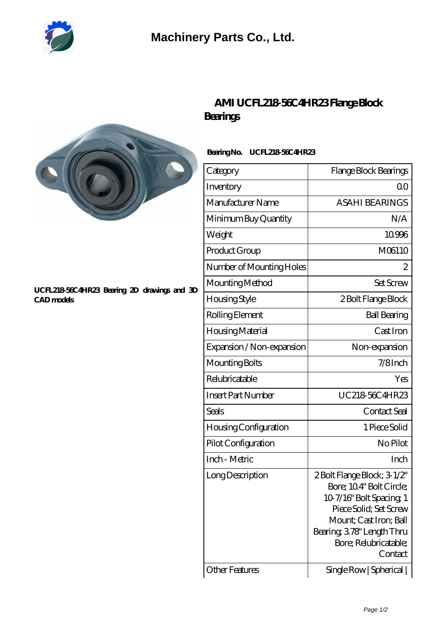

# **[Machinery Parts Co., Ltd.](https://diours.com)**



#### **[UCFL218-56C4HR23 Bearing 2D drawings and 3D](https://diours.com/pic-379800.html) [CAD models](https://diours.com/pic-379800.html)**

## **[AMI UCFL218-56C4HR23 Flange Block](https://diours.com/ami-ucfl218-56c4hr23-bearing/) [Bearings](https://diours.com/ami-ucfl218-56c4hr23-bearing/)**

### **Bearing No. UCFL218-56C4HR23**

| Category                     | Flange Block Bearings                                                                                                                                                                                  |
|------------------------------|--------------------------------------------------------------------------------------------------------------------------------------------------------------------------------------------------------|
| Inventory                    | 0 <sub>0</sub>                                                                                                                                                                                         |
| Manufacturer Name            | <b>ASAHI BEARINGS</b>                                                                                                                                                                                  |
| Minimum Buy Quantity         | N/A                                                                                                                                                                                                    |
| Weight                       | 10996                                                                                                                                                                                                  |
| Product Group                | M06110                                                                                                                                                                                                 |
| Number of Mounting Holes     | 2                                                                                                                                                                                                      |
| Mounting Method              | <b>Set Screw</b>                                                                                                                                                                                       |
| Housing Style                | 2 Bolt Flange Block                                                                                                                                                                                    |
| Rolling Element              | <b>Ball Bearing</b>                                                                                                                                                                                    |
| Housing Material             | Cast Iron                                                                                                                                                                                              |
| Expansion / Non-expansion    | Non-expansion                                                                                                                                                                                          |
| Mounting Bolts               | $7/8$ Inch                                                                                                                                                                                             |
| Relubricatable               | Yes                                                                                                                                                                                                    |
| <b>Insert Part Number</b>    | UC21856C4HR23                                                                                                                                                                                          |
| Seals                        | Contact Seal                                                                                                                                                                                           |
| <b>Housing Configuration</b> | 1 Piece Solid                                                                                                                                                                                          |
| Pilot Configuration          | No Pilot                                                                                                                                                                                               |
| Inch - Metric                | Inch                                                                                                                                                                                                   |
| Long Description             | 2 Bolt Flange Block; 3-1/2"<br>Bore; 104" Bolt Circle;<br>10-7/16" Bolt Spacing 1<br>Piece Solid; Set Screw<br>Mount; Cast Iron; Ball<br>Bearing, 378" Length Thru<br>Bore; Relubricatable;<br>Contact |
| <b>Other Features</b>        | Single Row   Spherical                                                                                                                                                                                 |